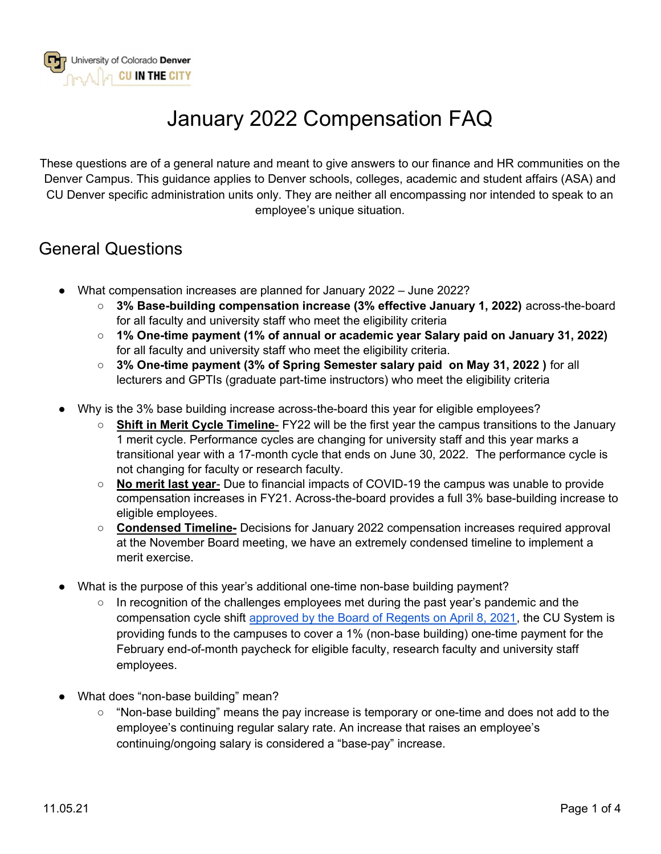

# January 2022 Compensation FAQ

These questions are of a general nature and meant to give answers to our finance and HR communities on the Denver Campus. This guidance applies to Denver schools, colleges, academic and student affairs (ASA) and CU Denver specific administration units only. They are neither all encompassing nor intended to speak to an employee's unique situation.

#### General Questions

- What compensation increases are planned for January 2022 June 2022?
	- 3% Base-building compensation increase (3% effective January 1, 2022) across-the-board for all faculty and university staff who meet the eligibility criteria
	- 1% One-time payment (1% of annual or academic year Salary paid on January 31, 2022) for all faculty and university staff who meet the eligibility criteria.
	- 3% One-time payment (3% of Spring Semester salary paid on May 31, 2022) for all lecturers and GPTIs (graduate part-time instructors) who meet the eligibility criteria
- Why is the 3% base building increase across-the-board this year for eligible employees?
	- Shift in Merit Cycle Timeline- FY22 will be the first year the campus transitions to the January 1 merit cycle. Performance cycles are changing for university staff and this year marks a transitional year with a 17-month cycle that ends on June 30, 2022. The performance cycle is not changing for faculty or research faculty.
	- No merit last year- Due to financial impacts of COVID-19 the campus was unable to provide compensation increases in FY21. Across-the-board provides a full 3% base-building increase to eligible employees.
	- Condensed Timeline- Decisions for January 2022 compensation increases required approval at the November Board meeting, we have an extremely condensed timeline to implement a merit exercise.
- What is the purpose of this year's additional one-time non-base building payment?
	- $\circ$  In recognition of the challenges employees met during the past year's pandemic and the compensation cycle shift approved by the Board of Regents on April 8, 2021, the CU System is providing funds to the campuses to cover a 1% (non-base building) one-time payment for the February end-of-month paycheck for eligible faculty, research faculty and university staff employees.
- What does "non-base building" mean?
	- "Non-base building" means the pay increase is temporary or one-time and does not add to the employee's continuing regular salary rate. An increase that raises an employee's continuing/ongoing salary is considered a "base-pay" increase.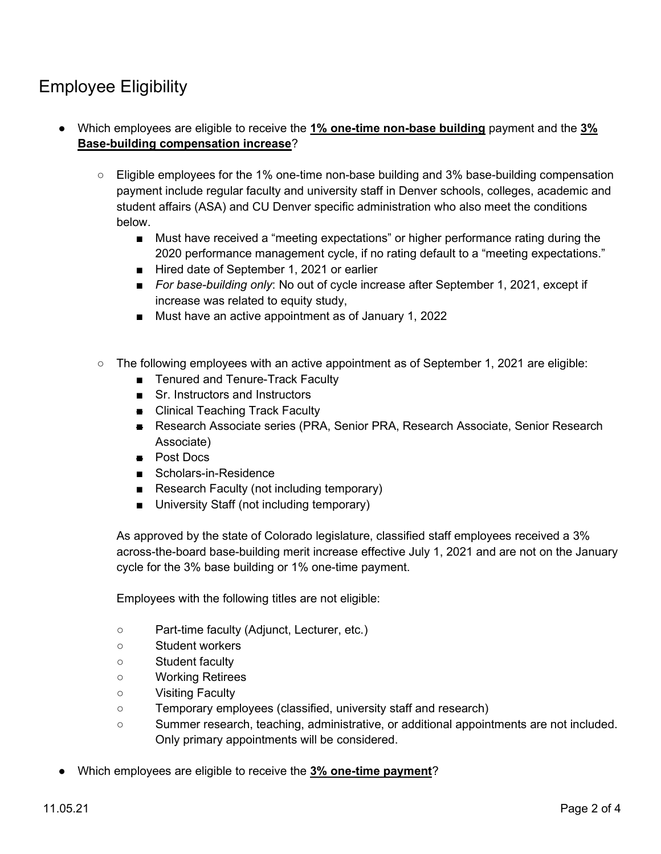## Employee Eligibility

- Which employees are eligible to receive the 1% one-time non-base building payment and the 3% Base-building compensation increase?
	- Eligible employees for the 1% one-time non-base building and 3% base-building compensation payment include regular faculty and university staff in Denver schools, colleges, academic and student affairs (ASA) and CU Denver specific administration who also meet the conditions below.
		- Must have received a "meeting expectations" or higher performance rating during the 2020 performance management cycle, if no rating default to a "meeting expectations."
		- Hired date of September 1, 2021 or earlier
		- For base-building only: No out of cycle increase after September 1, 2021, except if increase was related to equity study,
		- Must have an active appointment as of January 1, 2022
	- $\circ$  The following employees with an active appointment as of September 1, 2021 are eligible:
		- Tenured and Tenure-Track Faculty
		- Sr. Instructors and Instructors
		- Clinical Teaching Track Faculty
		- Research Associate series (PRA, Senior PRA, Research Associate, Senior Research Associate)
		- Post Docs
		- Scholars-in-Residence
		- Research Faculty (not including temporary)
		- University Staff (not including temporary)

As approved by the state of Colorado legislature, classified staff employees received a 3% across-the-board base-building merit increase effective July 1, 2021 and are not on the January cycle for the 3% base building or 1% one-time payment.

Employees with the following titles are not eligible:

- Part-time faculty (Adjunct, Lecturer, etc.)
- Student workers
- Student faculty
- Working Retirees
- Visiting Faculty
- Temporary employees (classified, university staff and research)
- Summer research, teaching, administrative, or additional appointments are not included. Only primary appointments will be considered.
- Which employees are eligible to receive the 3% one-time payment?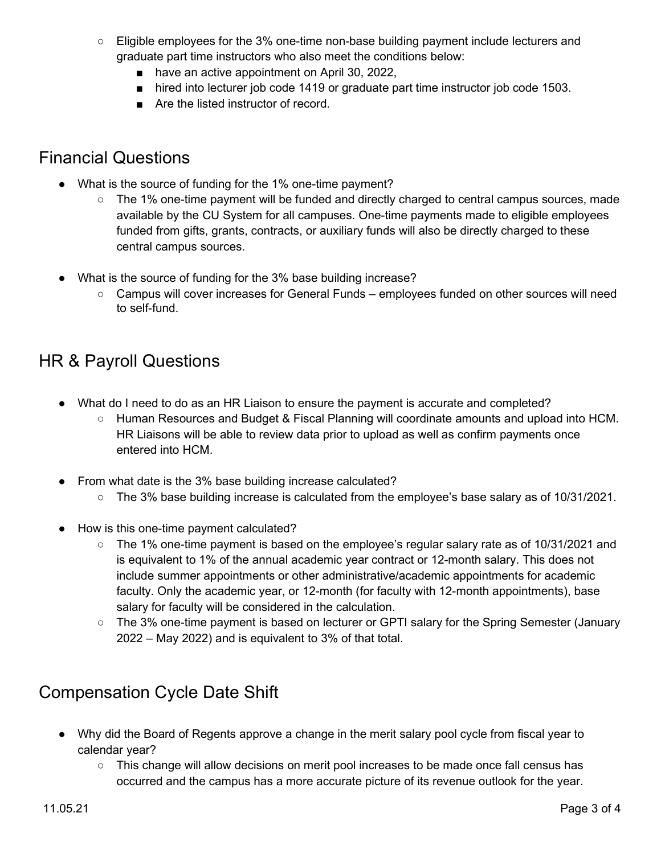- Eligible employees for the 3% one-time non-base building payment include lecturers and graduate part time instructors who also meet the conditions below:
	- have an active appointment on April 30, 2022,
	- hired into lecturer job code 1419 or graduate part time instructor job code 1503.
	- Are the listed instructor of record

#### Financial Questions

- What is the source of funding for the 1% one-time payment?
	- The 1% one-time payment will be funded and directly charged to central campus sources, made available by the CU System for all campuses. One-time payments made to eligible employees funded from gifts, grants, contracts, or auxiliary funds will also be directly charged to these central campus sources.
- What is the source of funding for the 3% base building increase?
	- Campus will cover increases for General Funds employees funded on other sources will need to self-fund.

## HR & Payroll Questions

- What do I need to do as an HR Liaison to ensure the payment is accurate and completed?
	- Human Resources and Budget & Fiscal Planning will coordinate amounts and upload into HCM. HR Liaisons will be able to review data prior to upload as well as confirm payments once entered into HCM.
- From what date is the 3% base building increase calculated?
	- $\circ$  The 3% base building increase is calculated from the employee's base salary as of 10/31/2021.
- How is this one-time payment calculated?
	- The 1% one-time payment is based on the employee's regular salary rate as of 10/31/2021 and is equivalent to 1% of the annual academic year contract or 12-month salary. This does not include summer appointments or other administrative/academic appointments for academic faculty. Only the academic year, or 12-month (for faculty with 12-month appointments), base salary for faculty will be considered in the calculation.
	- The 3% one-time payment is based on lecturer or GPTI salary for the Spring Semester (January 2022 – May 2022) and is equivalent to 3% of that total.

## Compensation Cycle Date Shift

- Why did the Board of Regents approve a change in the merit salary pool cycle from fiscal year to calendar year?
	- This change will allow decisions on merit pool increases to be made once fall census has occurred and the campus has a more accurate picture of its revenue outlook for the year.